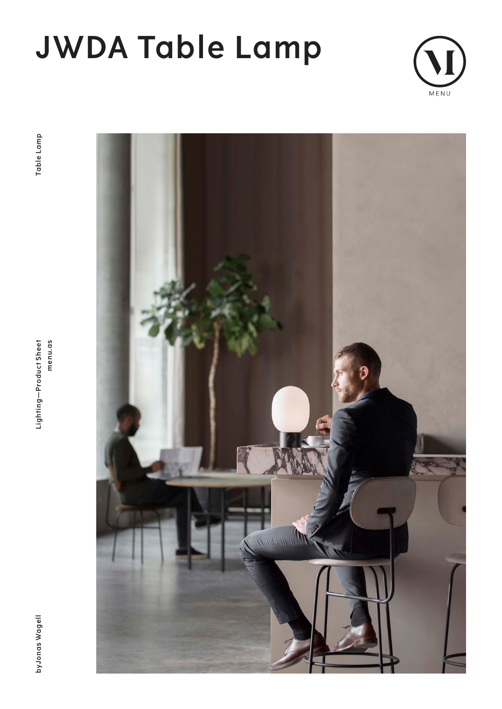# **JWDA Table Lamp**



**byJonas Wagell Lighting—Product Sheet menu.as Table Lamp**Lighting-Product Sheet menu.as

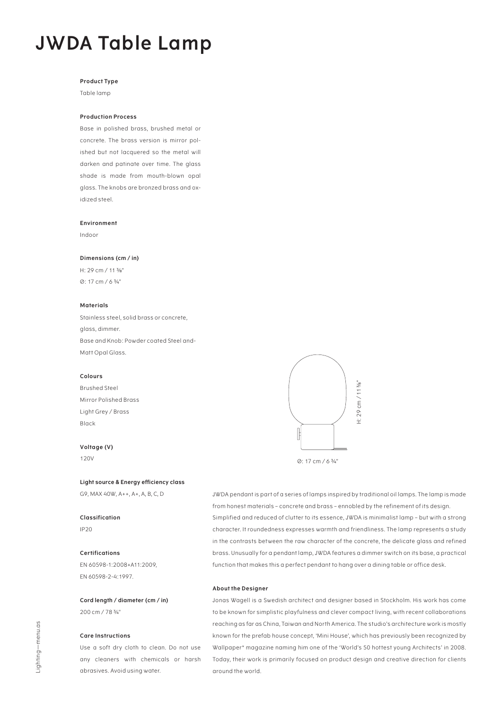### **JWDA Table Lamp**

#### **Product Type**

Table lamp

#### **Production Process**

Base in polished brass, brushed metal or concrete. The brass version is mirror polished but not lacquered so the metal will darken and patinate over time. The glass shade is made from mouth-blown opal glass. The knobs are bronzed brass and oxidized steel.

#### **Environment**

Indoor

#### **Dimensions (cm / in)**

H: 29 cm / 11 3/8" Ø: 17 cm / 6 3/4"

#### **Materials**

Stainless steel, solid brass or concrete, glass, dimmer. Base and Knob: Powder coated Steel and-Matt Opal Glass.

#### **Colours**

Brushed Steel Mirror Polished Brass Light Grey / Brass Black

#### **Voltage (V)**

120V

#### **Light source & Energy efficiency class**

G9, MAX 40W, A++, A+, A, B, C, D

**Classification** IP20

#### **Certifications**

EN 60598-1:2008+A11:2009, EN 60598-2-4:1997.

**Cord length / diameter (cm / in)** 200 cm / 78 3/4"

#### **Care Instructions**

Use a soft dry cloth to clean. Do not use any cleaners with chemicals or harsh abrasives. Avoid using water.



JWDA pendant is part of a series of lamps inspired by traditional oil lamps. The lamp is made from honest materials – concrete and brass – ennobled by the refinement of its design. Simplified and reduced of clutter to its essence, JWDA is minimalist lamp – but with a strong character. It roundedness expresses warmth and friendliness. The lamp represents a study in the contrasts between the raw character of the concrete, the delicate glass and refined brass. Unusually for a pendant lamp, JWDA features a dimmer switch on its base, a practical function that makes this a perfect pendant to hang over a dining table or office desk.

#### **About the Designer**

Jonas Wagell is a Swedish architect and designer based in Stockholm. His work has come to be known for simplistic playfulness and clever compact living, with recent collaborations reaching as far as China, Taiwan and North America. The studio's architecture work is mostly known for the prefab house concept, 'Mini House', which has previously been recognized by Wallpaper\* magazine naming him one of the 'World's 50 hottest young Architects' in 2008. Today, their work is primarily focused on product design and creative direction for clients around the world.